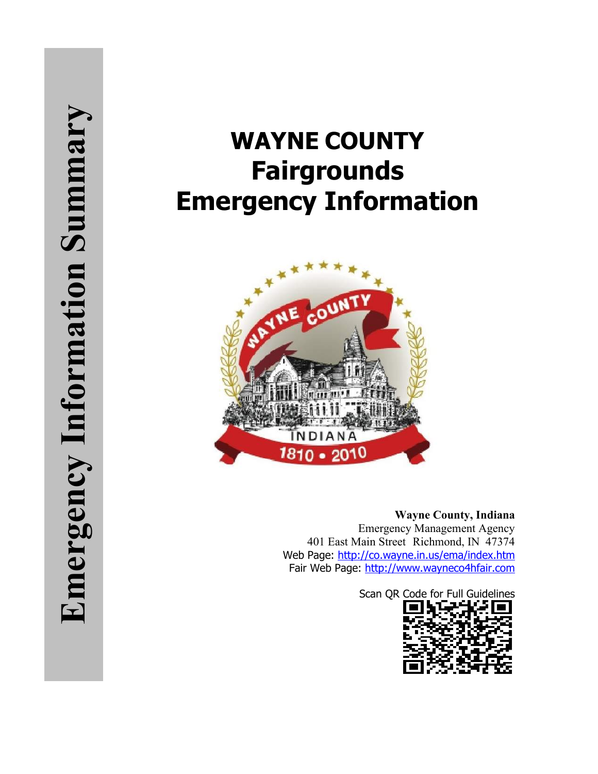# **WAYNE COUNTY Fairgrounds Emergency Information**



**Wayne County, Indiana** Emergency Management Agency 401 East Main Street Richmond, IN 47374 Web Page:<http://co.wayne.in.us/ema/index.htm> Fair Web Page: [http://www.wayneco4hfair.com](http://www.wayneco4hfair.com/)

Scan QR Code for Full Guidelines

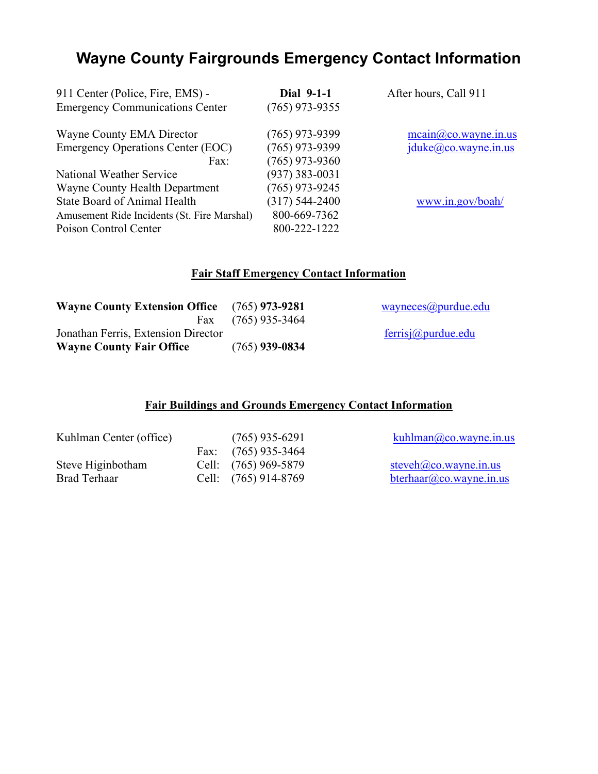## **Wayne County Fairgrounds Emergency Contact Information**

| 911 Center (Police, Fire, EMS) -<br><b>Emergency Communications Center</b> | Dial 9-1-1<br>$(765)$ 973-9355 | After hours, Call 911 |
|----------------------------------------------------------------------------|--------------------------------|-----------------------|
| Wayne County EMA Director                                                  | $(765)$ 973-9399               | mean@co.wayne.in.us   |
| <b>Emergency Operations Center (EOC)</b>                                   | $(765)$ 973-9399               | jduke@co.wayne.in.us  |
| Fax:                                                                       | $(765)$ 973-9360               |                       |
| National Weather Service                                                   | $(937)$ 383-0031               |                       |
| Wayne County Health Department                                             | $(765)$ 973-9245               |                       |
| <b>State Board of Animal Health</b>                                        | $(317) 544 - 2400$             | www.in.gov/boah/      |
| Amusement Ride Incidents (St. Fire Marshal)                                | 800-669-7362                   |                       |
| Poison Control Center                                                      | 800-222-1222                   |                       |

#### **Fair Staff Emergency Contact Information**

| <b>Wayne County Extension Office</b> (765) 973-9281 |                      | wayneces@purdue.edu |
|-----------------------------------------------------|----------------------|---------------------|
|                                                     | Fax $(765)$ 935-3464 |                     |
| Jonathan Ferris, Extension Director                 |                      | ferris@purdue.edu   |
| <b>Wayne County Fair Office</b>                     | $(765)$ 939-0834     |                     |

### **Fair Buildings and Grounds Emergency Contact Information**

| Kuhlman Center (office) | $(765)$ 935-6291      | kuhlman@co.wayne.in.us      |
|-------------------------|-----------------------|-----------------------------|
|                         | Fax: $(765)$ 935-3464 |                             |
| Steve Higinbotham       | Cell: (765) 969-5879  | steveh $(a)$ co.wayne.in.us |
| Brad Terhaar            | Cell: (765) 914-8769  | $b$ terhaar@co.wayne.in.us  |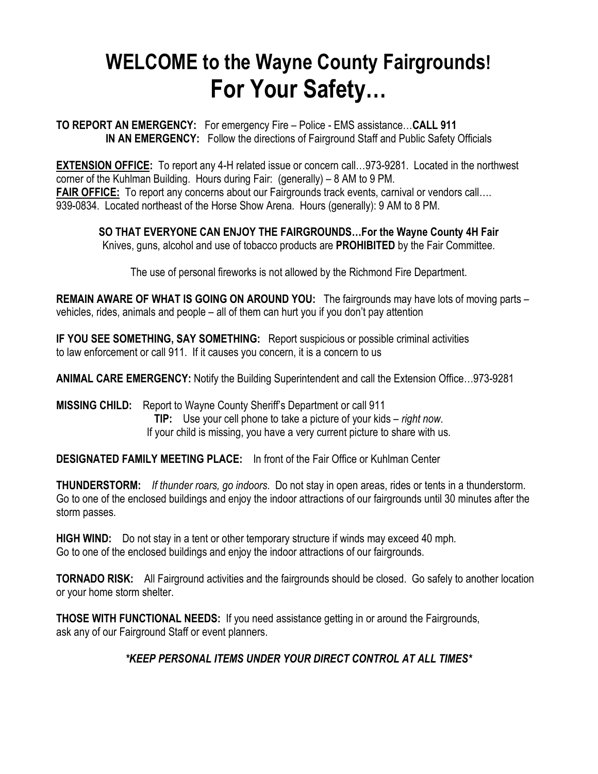## **WELCOME to the Wayne County Fairgrounds! For Your Safety…**

**TO REPORT AN EMERGENCY:** For emergency Fire – Police - EMS assistance…**CALL 911 IN AN EMERGENCY:** Follow the directions of Fairground Staff and Public Safety Officials

**EXTENSION OFFICE:** To report any 4-H related issue or concern call…973-9281. Located in the northwest corner of the Kuhlman Building. Hours during Fair: (generally) – 8 AM to 9 PM. **FAIR OFFICE:** To report any concerns about our Fairgrounds track events, carnival or vendors call…. 939-0834. Located northeast of the Horse Show Arena. Hours (generally): 9 AM to 8 PM.

**SO THAT EVERYONE CAN ENJOY THE FAIRGROUNDS…For the Wayne County 4H Fair**

Knives, guns, alcohol and use of tobacco products are **PROHIBITED** by the Fair Committee.

The use of personal fireworks is not allowed by the Richmond Fire Department.

**REMAIN AWARE OF WHAT IS GOING ON AROUND YOU:** The fairgrounds may have lots of moving parts – vehicles, rides, animals and people – all of them can hurt you if you don't pay attention

**IF YOU SEE SOMETHING, SAY SOMETHING:** Report suspicious or possible criminal activities to law enforcement or call 911. If it causes you concern, it is a concern to us

**ANIMAL CARE EMERGENCY:** Notify the Building Superintendent and call the Extension Office…973-9281

**MISSING CHILD:** Report to Wayne County Sheriff's Department or call 911 **TIP:** Use your cell phone to take a picture of your kids – *right now*. If your child is missing, you have a very current picture to share with us.

**DESIGNATED FAMILY MEETING PLACE:** In front of the Fair Office or Kuhlman Center

**THUNDERSTORM:** *If thunder roars, go indoors*. Do not stay in open areas, rides or tents in a thunderstorm. Go to one of the enclosed buildings and enjoy the indoor attractions of our fairgrounds until 30 minutes after the storm passes.

**HIGH WIND:** Do not stay in a tent or other temporary structure if winds may exceed 40 mph. Go to one of the enclosed buildings and enjoy the indoor attractions of our fairgrounds.

**TORNADO RISK:** All Fairground activities and the fairgrounds should be closed. Go safely to another location or your home storm shelter.

**THOSE WITH FUNCTIONAL NEEDS:** If you need assistance getting in or around the Fairgrounds, ask any of our Fairground Staff or event planners.

*\*KEEP PERSONAL ITEMS UNDER YOUR DIRECT CONTROL AT ALL TIMES\**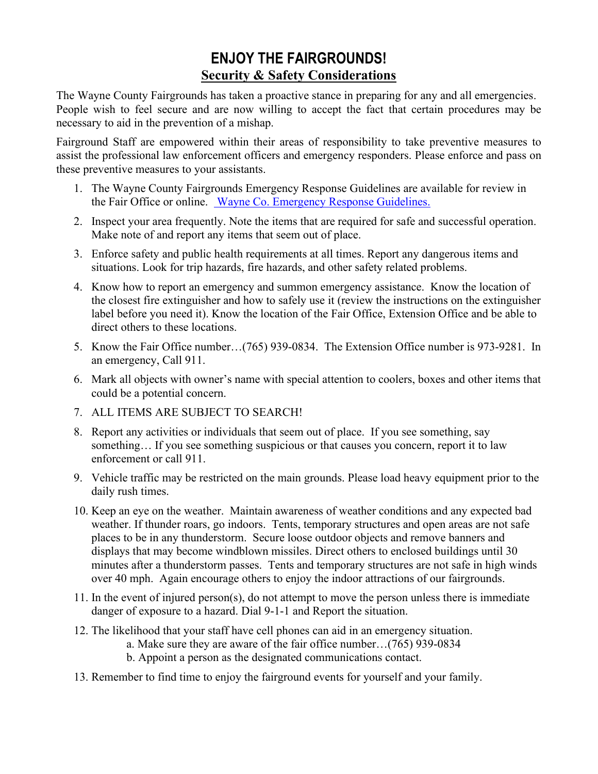### **ENJOY THE FAIRGROUNDS! Security & Safety Considerations**

The Wayne County Fairgrounds has taken a proactive stance in preparing for any and all emergencies. People wish to feel secure and are now willing to accept the fact that certain procedures may be necessary to aid in the prevention of a mishap.

Fairground Staff are empowered within their areas of responsibility to take preventive measures to assist the professional law enforcement officers and emergency responders. Please enforce and pass on these preventive measures to your assistants.

- 1. The Wayne County Fairgrounds Emergency Response Guidelines are available for review in the Fair Office or online. [Wayne Co. Emergency Response Guidelines.](https://www.co.wayne.in.us/web/dept/ema/2020WayneCoEmergencyResponseGuidelinesFINAL.pdf)
- 2. Inspect your area frequently. Note the items that are required for safe and successful operation. Make note of and report any items that seem out of place.
- 3. Enforce safety and public health requirements at all times. Report any dangerous items and situations. Look for trip hazards, fire hazards, and other safety related problems.
- 4. Know how to report an emergency and summon emergency assistance. Know the location of the closest fire extinguisher and how to safely use it (review the instructions on the extinguisher label before you need it). Know the location of the Fair Office, Extension Office and be able to direct others to these locations.
- 5. Know the Fair Office number…(765) 939-0834. The Extension Office number is 973-9281. In an emergency, Call 911.
- 6. Mark all objects with owner's name with special attention to coolers, boxes and other items that could be a potential concern.
- 7. ALL ITEMS ARE SUBJECT TO SEARCH!
- 8. Report any activities or individuals that seem out of place. If you see something, say something… If you see something suspicious or that causes you concern, report it to law enforcement or call 911.
- 9. Vehicle traffic may be restricted on the main grounds. Please load heavy equipment prior to the daily rush times.
- 10. Keep an eye on the weather. Maintain awareness of weather conditions and any expected bad weather. If thunder roars, go indoors. Tents, temporary structures and open areas are not safe places to be in any thunderstorm. Secure loose outdoor objects and remove banners and displays that may become windblown missiles. Direct others to enclosed buildings until 30 minutes after a thunderstorm passes. Tents and temporary structures are not safe in high winds over 40 mph. Again encourage others to enjoy the indoor attractions of our fairgrounds.
- 11. In the event of injured person(s), do not attempt to move the person unless there is immediate danger of exposure to a hazard. Dial 9-1-1 and Report the situation.
- 12. The likelihood that your staff have cell phones can aid in an emergency situation.
	- a. Make sure they are aware of the fair office number…(765) 939-0834
	- b. Appoint a person as the designated communications contact.
- 13. Remember to find time to enjoy the fairground events for yourself and your family.